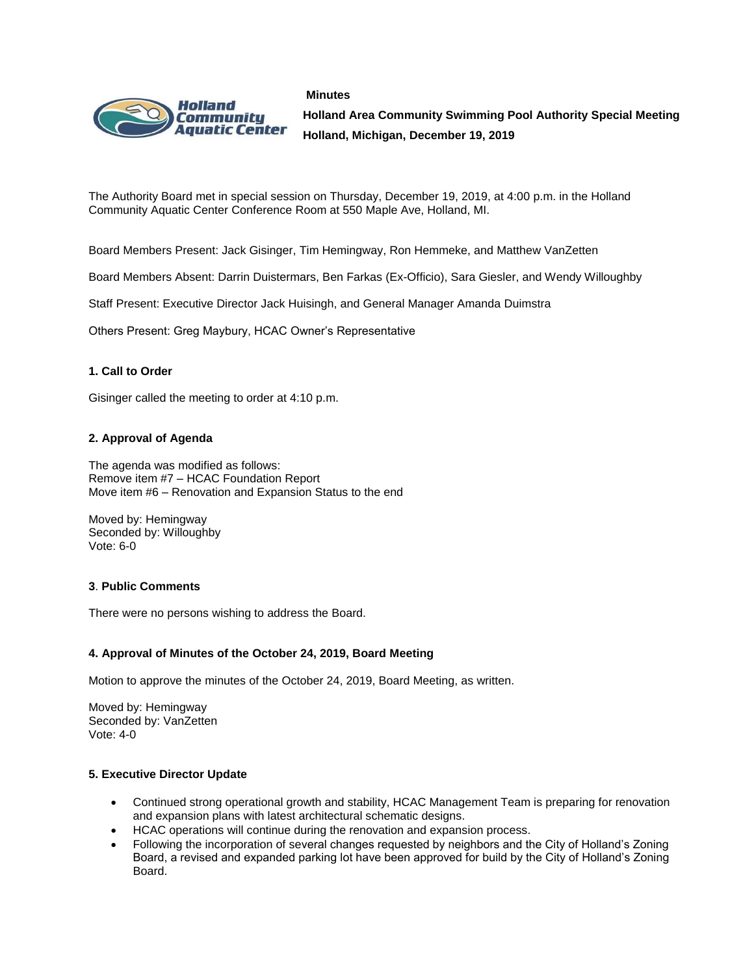#### **Minutes**



**Holland Area Community Swimming Pool Authority Special Meeting Holland, Michigan, December 19, 2019**

The Authority Board met in special session on Thursday, December 19, 2019, at 4:00 p.m. in the Holland Community Aquatic Center Conference Room at 550 Maple Ave, Holland, MI.

Board Members Present: Jack Gisinger, Tim Hemingway, Ron Hemmeke, and Matthew VanZetten

Board Members Absent: Darrin Duistermars, Ben Farkas (Ex-Officio), Sara Giesler, and Wendy Willoughby

Staff Present: Executive Director Jack Huisingh, and General Manager Amanda Duimstra

Others Present: Greg Maybury, HCAC Owner's Representative

## **1. Call to Order**

Gisinger called the meeting to order at 4:10 p.m.

## **2. Approval of Agenda**

The agenda was modified as follows: Remove item #7 – HCAC Foundation Report Move item #6 – Renovation and Expansion Status to the end

Moved by: Hemingway Seconded by: Willoughby Vote: 6-0

#### **3**. **Public Comments**

There were no persons wishing to address the Board.

#### **4. Approval of Minutes of the October 24, 2019, Board Meeting**

Motion to approve the minutes of the October 24, 2019, Board Meeting, as written.

Moved by: Hemingway Seconded by: VanZetten Vote: 4-0

### **5. Executive Director Update**

- Continued strong operational growth and stability, HCAC Management Team is preparing for renovation and expansion plans with latest architectural schematic designs.
- HCAC operations will continue during the renovation and expansion process.
- Following the incorporation of several changes requested by neighbors and the City of Holland's Zoning Board, a revised and expanded parking lot have been approved for build by the City of Holland's Zoning Board.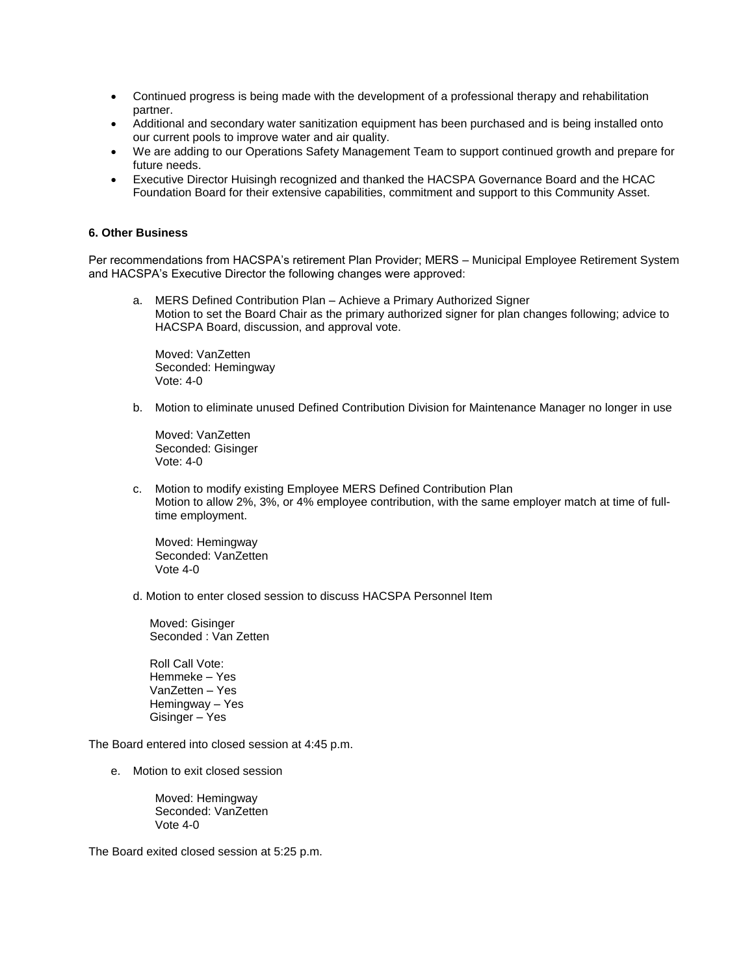- Continued progress is being made with the development of a professional therapy and rehabilitation partner.
- Additional and secondary water sanitization equipment has been purchased and is being installed onto our current pools to improve water and air quality.
- We are adding to our Operations Safety Management Team to support continued growth and prepare for future needs.
- Executive Director Huisingh recognized and thanked the HACSPA Governance Board and the HCAC Foundation Board for their extensive capabilities, commitment and support to this Community Asset.

#### **6. Other Business**

Per recommendations from HACSPA's retirement Plan Provider; MERS – Municipal Employee Retirement System and HACSPA's Executive Director the following changes were approved:

a. MERS Defined Contribution Plan – Achieve a Primary Authorized Signer Motion to set the Board Chair as the primary authorized signer for plan changes following; advice to HACSPA Board, discussion, and approval vote.

Moved: VanZetten Seconded: Hemingway Vote: 4-0

b. Motion to eliminate unused Defined Contribution Division for Maintenance Manager no longer in use

Moved: VanZetten Seconded: Gisinger Vote: 4-0

c. Motion to modify existing Employee MERS Defined Contribution Plan Motion to allow 2%, 3%, or 4% employee contribution, with the same employer match at time of fulltime employment.

Moved: Hemingway Seconded: VanZetten Vote 4-0

d. Motion to enter closed session to discuss HACSPA Personnel Item

Moved: Gisinger Seconded : Van Zetten

Roll Call Vote: Hemmeke – Yes VanZetten – Yes Hemingway – Yes Gisinger – Yes

The Board entered into closed session at 4:45 p.m.

e. Motion to exit closed session

Moved: Hemingway Seconded: VanZetten Vote 4-0

The Board exited closed session at 5:25 p.m.